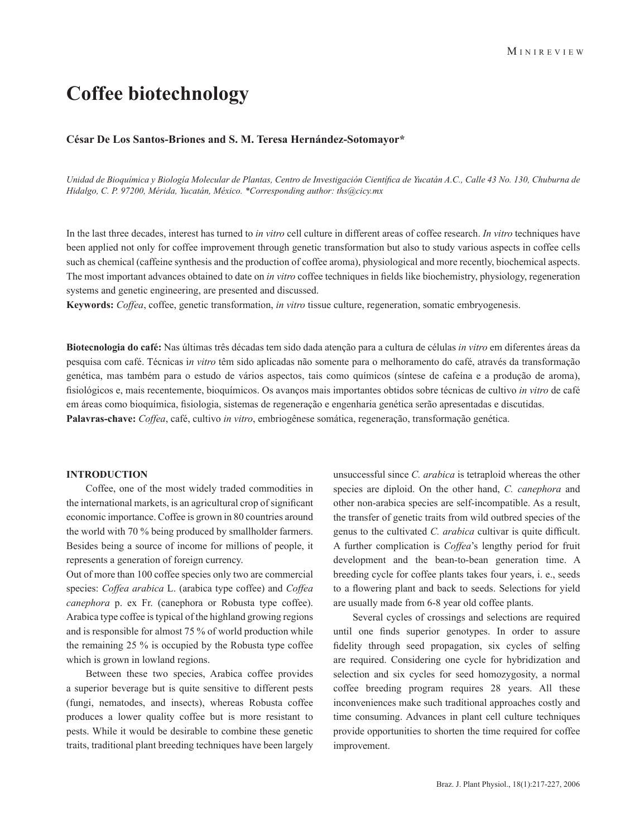# **Coffee biotechnology**

## **César De Los Santos-Briones and S. M. Teresa Hernández-Sotomayor\***

*Unidad de Bioquímica y Biología Molecular de Plantas, Centro de Investigación Científica de Yucatán A.C., Calle 43 No. 130, Chuburna de Hidalgo, C. P. 97200, Mérida, Yucatán, México. \*Corresponding author: ths@cicy.mx*

In the last three decades, interest has turned to *in vitro* cell culture in different areas of coffee research. *In vitro* techniques have been applied not only for coffee improvement through genetic transformation but also to study various aspects in coffee cells such as chemical (caffeine synthesis and the production of coffee aroma), physiological and more recently, biochemical aspects. The most important advances obtained to date on *in vitro* coffee techniques in fields like biochemistry, physiology, regeneration systems and genetic engineering, are presented and discussed.

**Keywords:** *Coffea*, coffee, genetic transformation, *in vitro* tissue culture, regeneration, somatic embryogenesis.

**Biotecnologia do café:** Nas últimas três décadas tem sido dada atenção para a cultura de células *in vitro* em diferentes áreas da pesquisa com café. Técnicas i*n vitro* têm sido aplicadas não somente para o melhoramento do café, através da transformação genética, mas também para o estudo de vários aspectos, tais como químicos (síntese de cafeína e a produção de aroma), fisiológicos e, mais recentemente, bioquímicos. Os avanços mais importantes obtidos sobre técnicas de cultivo *in vitro* de café em áreas como bioquímica, fisiologia, sistemas de regeneração e engenharia genética serão apresentadas e discutidas. **Palavras-chave:** *Coffea*, café, cultivo *in vitro*, embriogênese somática, regeneração, transformação genética.

#### **INTRODUCTION**

 Coffee, one of the most widely traded commodities in the international markets, is an agricultural crop of significant economic importance. Coffee is grown in 80 countries around the world with 70 % being produced by smallholder farmers. Besides being a source of income for millions of people, it represents a generation of foreign currency.

Out of more than 100 coffee species only two are commercial species: *Coffea arabica* L. (arabica type coffee) and *Coffea canephora* p. ex Fr. (canephora or Robusta type coffee). Arabica type coffee is typical of the highland growing regions and is responsible for almost 75 % of world production while the remaining 25 % is occupied by the Robusta type coffee which is grown in lowland regions.

 Between these two species, Arabica coffee provides a superior beverage but is quite sensitive to different pests (fungi, nematodes, and insects), whereas Robusta coffee produces a lower quality coffee but is more resistant to pests. While it would be desirable to combine these genetic traits, traditional plant breeding techniques have been largely

unsuccessful since *C. arabica* is tetraploid whereas the other species are diploid. On the other hand, *C. canephora* and other non-arabica species are self-incompatible. As a result, the transfer of genetic traits from wild outbred species of the genus to the cultivated *C. arabica* cultivar is quite difficult. A further complication is *Coffea*'s lengthy period for fruit development and the bean-to-bean generation time. A breeding cycle for coffee plants takes four years, i. e., seeds to a flowering plant and back to seeds. Selections for yield are usually made from 6-8 year old coffee plants.

 Several cycles of crossings and selections are required until one finds superior genotypes. In order to assure fidelity through seed propagation, six cycles of selfing are required. Considering one cycle for hybridization and selection and six cycles for seed homozygosity, a normal coffee breeding program requires 28 years. All these inconveniences make such traditional approaches costly and time consuming. Advances in plant cell culture techniques provide opportunities to shorten the time required for coffee improvement.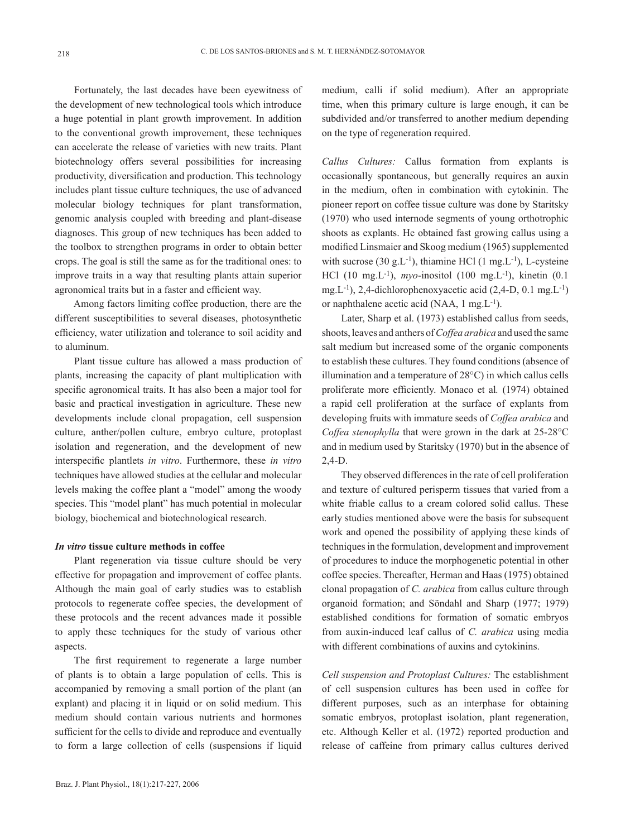Fortunately, the last decades have been eyewitness of the development of new technological tools which introduce a huge potential in plant growth improvement. In addition to the conventional growth improvement, these techniques can accelerate the release of varieties with new traits. Plant biotechnology offers several possibilities for increasing productivity, diversification and production. This technology includes plant tissue culture techniques, the use of advanced molecular biology techniques for plant transformation, genomic analysis coupled with breeding and plant-disease diagnoses. This group of new techniques has been added to the toolbox to strengthen programs in order to obtain better crops. The goal is still the same as for the traditional ones: to improve traits in a way that resulting plants attain superior agronomical traits but in a faster and efficient way.

 Among factors limiting coffee production, there are the different susceptibilities to several diseases, photosynthetic efficiency, water utilization and tolerance to soil acidity and to aluminum.

 Plant tissue culture has allowed a mass production of plants, increasing the capacity of plant multiplication with specific agronomical traits. It has also been a major tool for basic and practical investigation in agriculture. These new developments include clonal propagation, cell suspension culture, anther/pollen culture, embryo culture, protoplast isolation and regeneration, and the development of new interspecific plantlets *in vitro*. Furthermore, these *in vitro* techniques have allowed studies at the cellular and molecular levels making the coffee plant a "model" among the woody species. This "model plant" has much potential in molecular biology, biochemical and biotechnological research.

## *In vitro* **tissue culture methods in coffee**

 Plant regeneration via tissue culture should be very effective for propagation and improvement of coffee plants. Although the main goal of early studies was to establish protocols to regenerate coffee species, the development of these protocols and the recent advances made it possible to apply these techniques for the study of various other aspects.

 The first requirement to regenerate a large number of plants is to obtain a large population of cells. This is accompanied by removing a small portion of the plant (an explant) and placing it in liquid or on solid medium. This medium should contain various nutrients and hormones sufficient for the cells to divide and reproduce and eventually to form a large collection of cells (suspensions if liquid medium, calli if solid medium). After an appropriate time, when this primary culture is large enough, it can be subdivided and/or transferred to another medium depending on the type of regeneration required.

*Callus Cultures:* Callus formation from explants is occasionally spontaneous, but generally requires an auxin in the medium, often in combination with cytokinin. The pioneer report on coffee tissue culture was done by Staritsky (1970) who used internode segments of young orthotrophic shoots as explants. He obtained fast growing callus using a modified Linsmaier and Skoog medium (1965) supplemented with sucrose (30 g.L<sup>-1</sup>), thiamine HCl (1 mg.L<sup>-1</sup>), L-cysteine HCl (10 mg<sub>.</sub>L<sup>-1</sup>), *myo*-inositol (100 mg<sub>.</sub>L<sup>-1</sup>), kinetin (0.1) mg.L<sup>-1</sup>), 2,4-dichlorophenoxyacetic acid  $(2,4-D, 0.1 \text{ mg. L}^{-1})$ or naphthalene acetic acid (NAA,  $1 \text{ mg} L^{-1}$ ).

 Later, Sharp et al. (1973) established callus from seeds, shoots, leaves and anthers of *Coffea arabica* and used the same salt medium but increased some of the organic components to establish these cultures. They found conditions (absence of illumination and a temperature of 28°C) in which callus cells proliferate more efficiently. Monaco et al*.* (1974) obtained a rapid cell proliferation at the surface of explants from developing fruits with immature seeds of *Coffea arabica* and *Coffea stenophylla* that were grown in the dark at 25-28°C and in medium used by Staritsky (1970) but in the absence of 2,4-D.

 They observed differences in the rate of cell proliferation and texture of cultured perisperm tissues that varied from a white friable callus to a cream colored solid callus. These early studies mentioned above were the basis for subsequent work and opened the possibility of applying these kinds of techniques in the formulation, development and improvement of procedures to induce the morphogenetic potential in other coffee species. Thereafter, Herman and Haas (1975) obtained clonal propagation of *C. arabica* from callus culture through organoid formation; and Söndahl and Sharp (1977; 1979) established conditions for formation of somatic embryos from auxin-induced leaf callus of *C. arabica* using media with different combinations of auxins and cytokinins.

*Cell suspension and Protoplast Cultures:* The establishment of cell suspension cultures has been used in coffee for different purposes, such as an interphase for obtaining somatic embryos, protoplast isolation, plant regeneration, etc. Although Keller et al. (1972) reported production and release of caffeine from primary callus cultures derived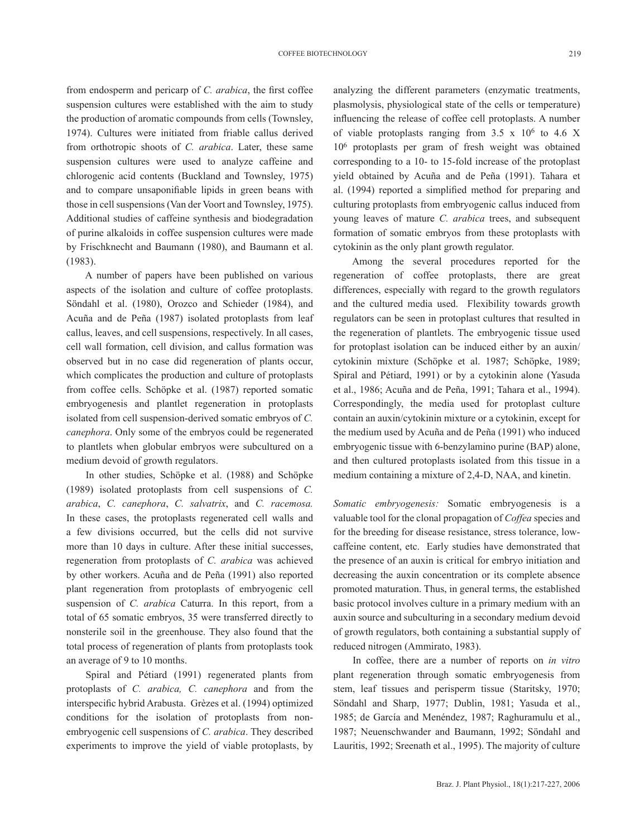from endosperm and pericarp of *C. arabica*, the first coffee suspension cultures were established with the aim to study the production of aromatic compounds from cells (Townsley, 1974). Cultures were initiated from friable callus derived from orthotropic shoots of *C. arabica*. Later, these same suspension cultures were used to analyze caffeine and chlorogenic acid contents (Buckland and Townsley, 1975) and to compare unsaponifiable lipids in green beans with those in cell suspensions (Van der Voort and Townsley, 1975). Additional studies of caffeine synthesis and biodegradation of purine alkaloids in coffee suspension cultures were made by Frischknecht and Baumann (1980), and Baumann et al. (1983).

 A number of papers have been published on various aspects of the isolation and culture of coffee protoplasts. Söndahl et al. (1980), Orozco and Schieder (1984), and Acuña and de Peña (1987) isolated protoplasts from leaf callus, leaves, and cell suspensions, respectively. In all cases, cell wall formation, cell division, and callus formation was observed but in no case did regeneration of plants occur, which complicates the production and culture of protoplasts from coffee cells. Schöpke et al. (1987) reported somatic embryogenesis and plantlet regeneration in protoplasts isolated from cell suspension-derived somatic embryos of *C. canephora*. Only some of the embryos could be regenerated to plantlets when globular embryos were subcultured on a medium devoid of growth regulators.

 In other studies, Schöpke et al. (1988) and Schöpke (1989) isolated protoplasts from cell suspensions of *C. arabica*, *C. canephora*, *C. salvatrix*, and *C. racemosa.*  In these cases, the protoplasts regenerated cell walls and a few divisions occurred, but the cells did not survive more than 10 days in culture. After these initial successes, regeneration from protoplasts of *C. arabica* was achieved by other workers. Acuña and de Peña (1991) also reported plant regeneration from protoplasts of embryogenic cell suspension of *C. arabica* Caturra. In this report, from a total of 65 somatic embryos, 35 were transferred directly to nonsterile soil in the greenhouse. They also found that the total process of regeneration of plants from protoplasts took an average of 9 to 10 months.

 Spiral and Pétiard (1991) regenerated plants from protoplasts of *C. arabica, C. canephora* and from the interspecific hybrid Arabusta. Grèzes et al. (1994) optimized conditions for the isolation of protoplasts from nonembryogenic cell suspensions of *C. arabica*. They described experiments to improve the yield of viable protoplasts, by analyzing the different parameters (enzymatic treatments, plasmolysis, physiological state of the cells or temperature) influencing the release of coffee cell protoplasts. A number of viable protoplasts ranging from  $3.5 \times 10^6$  to  $4.6 \times$ 106 protoplasts per gram of fresh weight was obtained corresponding to a 10- to 15-fold increase of the protoplast yield obtained by Acuña and de Peña (1991). Tahara et al. (1994) reported a simplified method for preparing and culturing protoplasts from embryogenic callus induced from young leaves of mature *C. arabica* trees, and subsequent formation of somatic embryos from these protoplasts with cytokinin as the only plant growth regulator.

 Among the several procedures reported for the regeneration of coffee protoplasts, there are great differences, especially with regard to the growth regulators and the cultured media used. Flexibility towards growth regulators can be seen in protoplast cultures that resulted in the regeneration of plantlets. The embryogenic tissue used for protoplast isolation can be induced either by an auxin/ cytokinin mixture (Schöpke et al. 1987; Schöpke, 1989; Spiral and Pétiard, 1991) or by a cytokinin alone (Yasuda et al., 1986; Acuña and de Peña, 1991; Tahara et al., 1994). Correspondingly, the media used for protoplast culture contain an auxin/cytokinin mixture or a cytokinin, except for the medium used by Acuña and de Peña (1991) who induced embryogenic tissue with 6-benzylamino purine (BAP) alone, and then cultured protoplasts isolated from this tissue in a medium containing a mixture of 2,4-D, NAA, and kinetin.

*Somatic embryogenesis:* Somatic embryogenesis is a valuable tool for the clonal propagation of *Coffea* species and for the breeding for disease resistance, stress tolerance, lowcaffeine content, etc. Early studies have demonstrated that the presence of an auxin is critical for embryo initiation and decreasing the auxin concentration or its complete absence promoted maturation. Thus, in general terms, the established basic protocol involves culture in a primary medium with an auxin source and subculturing in a secondary medium devoid of growth regulators, both containing a substantial supply of reduced nitrogen (Ammirato, 1983).

 In coffee, there are a number of reports on *in vitro* plant regeneration through somatic embryogenesis from stem, leaf tissues and perisperm tissue (Staritsky, 1970; Söndahl and Sharp, 1977; Dublin, 1981; Yasuda et al., 1985; de García and Menéndez, 1987; Raghuramulu et al., 1987; Neuenschwander and Baumann, 1992; Söndahl and Lauritis, 1992; Sreenath et al., 1995). The majority of culture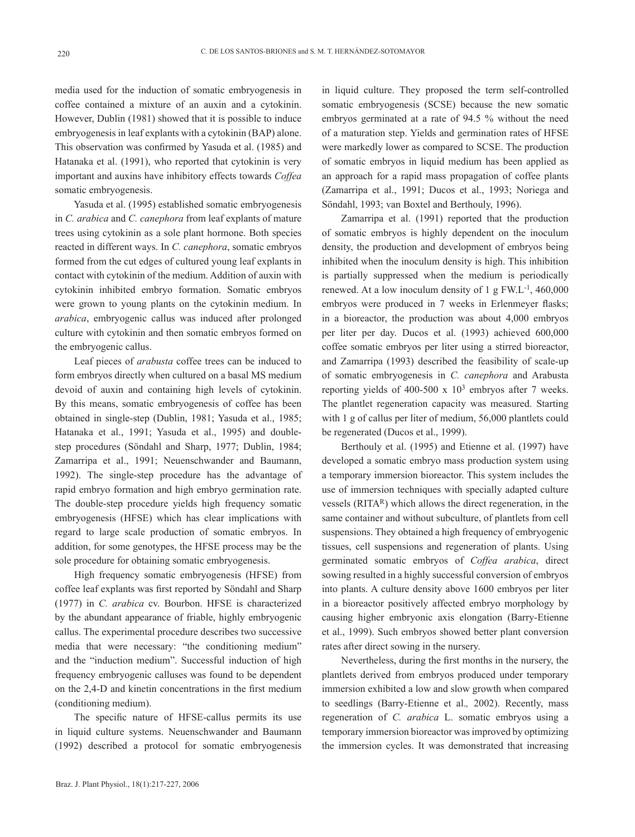media used for the induction of somatic embryogenesis in coffee contained a mixture of an auxin and a cytokinin. However, Dublin (1981) showed that it is possible to induce embryogenesis in leaf explants with a cytokinin (BAP) alone. This observation was confirmed by Yasuda et al. (1985) and Hatanaka et al. (1991), who reported that cytokinin is very important and auxins have inhibitory effects towards *Coffea* somatic embryogenesis.

 Yasuda et al. (1995) established somatic embryogenesis in *C. arabica* and *C. canephora* from leaf explants of mature trees using cytokinin as a sole plant hormone. Both species reacted in different ways. In *C. canephora*, somatic embryos formed from the cut edges of cultured young leaf explants in contact with cytokinin of the medium. Addition of auxin with cytokinin inhibited embryo formation. Somatic embryos were grown to young plants on the cytokinin medium. In *arabica*, embryogenic callus was induced after prolonged culture with cytokinin and then somatic embryos formed on the embryogenic callus.

 Leaf pieces of *arabusta* coffee trees can be induced to form embryos directly when cultured on a basal MS medium devoid of auxin and containing high levels of cytokinin. By this means, somatic embryogenesis of coffee has been obtained in single-step (Dublin, 1981; Yasuda et al., 1985; Hatanaka et al., 1991; Yasuda et al., 1995) and doublestep procedures (Söndahl and Sharp, 1977; Dublin, 1984; Zamarripa et al., 1991; Neuenschwander and Baumann, 1992). The single-step procedure has the advantage of rapid embryo formation and high embryo germination rate. The double-step procedure yields high frequency somatic embryogenesis (HFSE) which has clear implications with regard to large scale production of somatic embryos. In addition, for some genotypes, the HFSE process may be the sole procedure for obtaining somatic embryogenesis.

 High frequency somatic embryogenesis (HFSE) from coffee leaf explants was first reported by Söndahl and Sharp (1977) in *C. arabica* cv. Bourbon. HFSE is characterized by the abundant appearance of friable, highly embryogenic callus. The experimental procedure describes two successive media that were necessary: "the conditioning medium" and the "induction medium". Successful induction of high frequency embryogenic calluses was found to be dependent on the 2,4-D and kinetin concentrations in the first medium (conditioning medium).

 The specific nature of HFSE-callus permits its use in liquid culture systems. Neuenschwander and Baumann (1992) described a protocol for somatic embryogenesis in liquid culture. They proposed the term self-controlled somatic embryogenesis (SCSE) because the new somatic embryos germinated at a rate of 94.5 % without the need of a maturation step. Yields and germination rates of HFSE were markedly lower as compared to SCSE. The production of somatic embryos in liquid medium has been applied as an approach for a rapid mass propagation of coffee plants (Zamarripa et al., 1991; Ducos et al., 1993; Noriega and Söndahl, 1993; van Boxtel and Berthouly, 1996).

 Zamarripa et al. (1991) reported that the production of somatic embryos is highly dependent on the inoculum density, the production and development of embryos being inhibited when the inoculum density is high. This inhibition is partially suppressed when the medium is periodically renewed. At a low inoculum density of  $1 \text{ g } F W. L^{-1}$ , 460,000 embryos were produced in 7 weeks in Erlenmeyer flasks; in a bioreactor, the production was about 4,000 embryos per liter per day. Ducos et al. (1993) achieved 600,000 coffee somatic embryos per liter using a stirred bioreactor, and Zamarripa (1993) described the feasibility of scale-up of somatic embryogenesis in *C. canephora* and Arabusta reporting yields of 400-500  $\times$  10<sup>3</sup> embryos after 7 weeks. The plantlet regeneration capacity was measured. Starting with 1 g of callus per liter of medium, 56,000 plantlets could be regenerated (Ducos et al., 1999).

 Berthouly et al. (1995) and Etienne et al. (1997) have developed a somatic embryo mass production system using a temporary immersion bioreactor. This system includes the use of immersion techniques with specially adapted culture vessels ( $RITA<sup>R</sup>$ ) which allows the direct regeneration, in the same container and without subculture, of plantlets from cell suspensions. They obtained a high frequency of embryogenic tissues, cell suspensions and regeneration of plants. Using germinated somatic embryos of *Coffea arabica*, direct sowing resulted in a highly successful conversion of embryos into plants. A culture density above 1600 embryos per liter in a bioreactor positively affected embryo morphology by causing higher embryonic axis elongation (Barry-Etienne et al., 1999). Such embryos showed better plant conversion rates after direct sowing in the nursery.

 Nevertheless, during the first months in the nursery, the plantlets derived from embryos produced under temporary immersion exhibited a low and slow growth when compared to seedlings (Barry-Etienne et al.*,* 2002). Recently, mass regeneration of *C. arabica* L. somatic embryos using a temporary immersion bioreactor was improved by optimizing the immersion cycles. It was demonstrated that increasing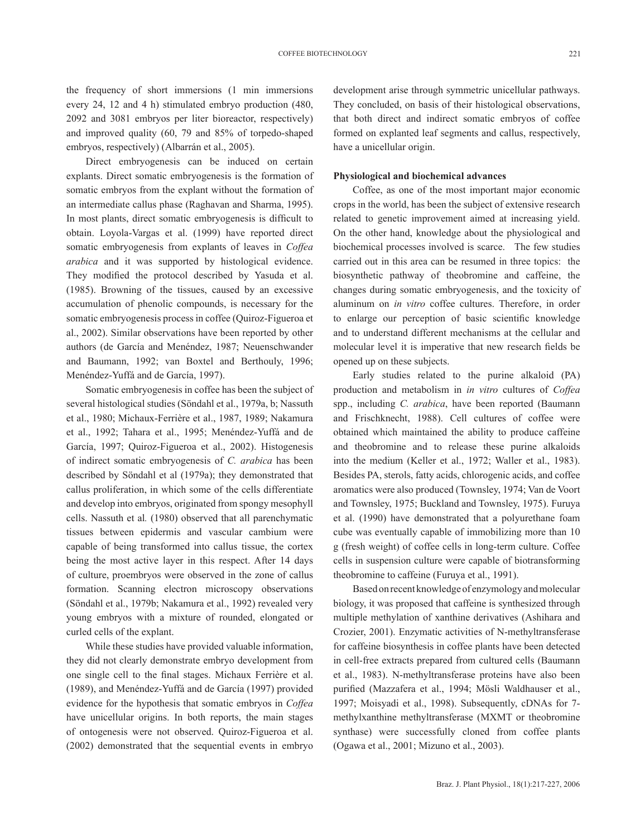the frequency of short immersions (1 min immersions every 24, 12 and 4 h) stimulated embryo production (480, 2092 and 3081 embryos per liter bioreactor, respectively) and improved quality (60, 79 and 85% of torpedo-shaped embryos, respectively) (Albarrán et al., 2005).

 Direct embryogenesis can be induced on certain explants. Direct somatic embryogenesis is the formation of somatic embryos from the explant without the formation of an intermediate callus phase (Raghavan and Sharma, 1995). In most plants, direct somatic embryogenesis is difficult to obtain. Loyola-Vargas et al. (1999) have reported direct somatic embryogenesis from explants of leaves in *Coffea arabica* and it was supported by histological evidence. They modified the protocol described by Yasuda et al. (1985). Browning of the tissues, caused by an excessive accumulation of phenolic compounds, is necessary for the somatic embryogenesis process in coffee (Quiroz-Figueroa et al., 2002). Similar observations have been reported by other authors (de García and Menéndez, 1987; Neuenschwander and Baumann, 1992; van Boxtel and Berthouly, 1996; Menéndez-Yuffá and de García, 1997).

 Somatic embryogenesis in coffee has been the subject of several histological studies (Söndahl et al., 1979a, b; Nassuth et al., 1980; Michaux-Ferrière et al., 1987, 1989; Nakamura et al., 1992; Tahara et al., 1995; Menéndez-Yuffá and de García, 1997; Quiroz-Figueroa et al., 2002). Histogenesis of indirect somatic embryogenesis of *C. arabica* has been described by Söndahl et al (1979a); they demonstrated that callus proliferation, in which some of the cells differentiate and develop into embryos, originated from spongy mesophyll cells. Nassuth et al*.* (1980) observed that all parenchymatic tissues between epidermis and vascular cambium were capable of being transformed into callus tissue, the cortex being the most active layer in this respect. After 14 days of culture, proembryos were observed in the zone of callus formation. Scanning electron microscopy observations (Söndahl et al., 1979b; Nakamura et al., 1992) revealed very young embryos with a mixture of rounded, elongated or curled cells of the explant.

 While these studies have provided valuable information, they did not clearly demonstrate embryo development from one single cell to the final stages. Michaux Ferrière et al. (1989), and Menéndez-Yuffá and de García (1997) provided evidence for the hypothesis that somatic embryos in *Coffea* have unicellular origins. In both reports, the main stages of ontogenesis were not observed. Quiroz-Figueroa et al. (2002) demonstrated that the sequential events in embryo

development arise through symmetric unicellular pathways. They concluded, on basis of their histological observations, that both direct and indirect somatic embryos of coffee formed on explanted leaf segments and callus, respectively, have a unicellular origin.

# **Physiological and biochemical advances**

 Coffee, as one of the most important major economic crops in the world, has been the subject of extensive research related to genetic improvement aimed at increasing yield. On the other hand, knowledge about the physiological and biochemical processes involved is scarce. The few studies carried out in this area can be resumed in three topics: the biosynthetic pathway of theobromine and caffeine, the changes during somatic embryogenesis, and the toxicity of aluminum on *in vitro* coffee cultures. Therefore, in order to enlarge our perception of basic scientific knowledge and to understand different mechanisms at the cellular and molecular level it is imperative that new research fields be opened up on these subjects.

 Early studies related to the purine alkaloid (PA) production and metabolism in *in vitro* cultures of *Coffea* spp., including *C. arabica*, have been reported (Baumann and Frischknecht, 1988). Cell cultures of coffee were obtained which maintained the ability to produce caffeine and theobromine and to release these purine alkaloids into the medium (Keller et al., 1972; Waller et al., 1983). Besides PA, sterols, fatty acids, chlorogenic acids, and coffee aromatics were also produced (Townsley, 1974; Van de Voort and Townsley, 1975; Buckland and Townsley, 1975). Furuya et al. (1990) have demonstrated that a polyurethane foam cube was eventually capable of immobilizing more than 10 g (fresh weight) of coffee cells in long-term culture. Coffee cells in suspension culture were capable of biotransforming theobromine to caffeine (Furuya et al., 1991).

 Based on recent knowledge of enzymology and molecular biology, it was proposed that caffeine is synthesized through multiple methylation of xanthine derivatives (Ashihara and Crozier, 2001). Enzymatic activities of N-methyltransferase for caffeine biosynthesis in coffee plants have been detected in cell-free extracts prepared from cultured cells (Baumann et al., 1983). N-methyltransferase proteins have also been purified (Mazzafera et al., 1994; Mösli Waldhauser et al., 1997; Moisyadi et al., 1998). Subsequently, cDNAs for 7 methylxanthine methyltransferase (MXMT or theobromine synthase) were successfully cloned from coffee plants (Ogawa et al., 2001; Mizuno et al., 2003).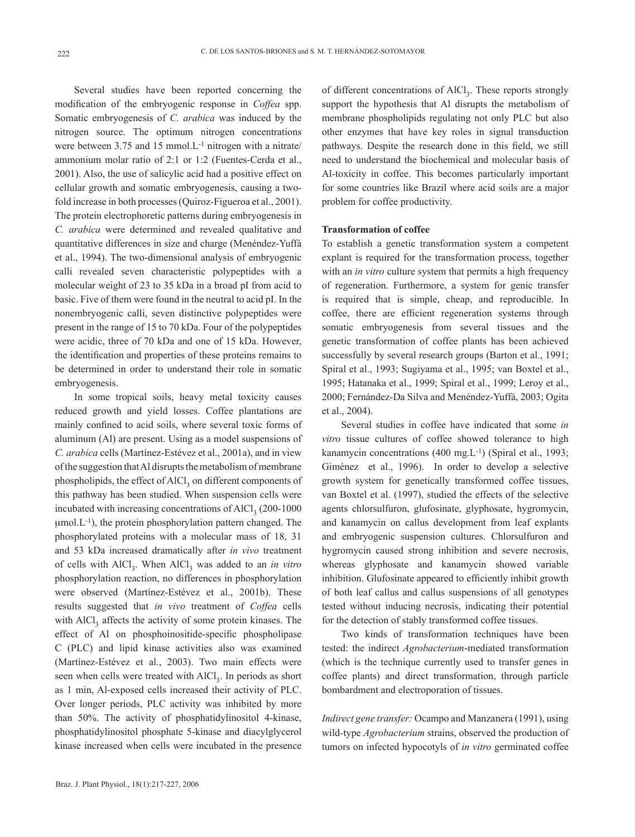Several studies have been reported concerning the modification of the embryogenic response in *Coffea* spp. Somatic embryogenesis of *C. arabica* was induced by the nitrogen source. The optimum nitrogen concentrations were between 3.75 and 15 mmol. $L^{-1}$  nitrogen with a nitrate/ ammonium molar ratio of 2:1 or 1:2 (Fuentes-Cerda et al., 2001). Also, the use of salicylic acid had a positive effect on cellular growth and somatic embryogenesis, causing a twofold increase in both processes (Quiroz-Figueroa et al., 2001). The protein electrophoretic patterns during embryogenesis in *C. arabica* were determined and revealed qualitative and quantitative differences in size and charge (Menéndez-Yuffá et al., 1994). The two-dimensional analysis of embryogenic calli revealed seven characteristic polypeptides with a molecular weight of 23 to 35 kDa in a broad pI from acid to basic. Five of them were found in the neutral to acid pI. In the nonembryogenic calli, seven distinctive polypeptides were present in the range of 15 to 70 kDa. Four of the polypeptides were acidic, three of 70 kDa and one of 15 kDa. However, the identification and properties of these proteins remains to be determined in order to understand their role in somatic embryogenesis.

 In some tropical soils, heavy metal toxicity causes reduced growth and yield losses. Coffee plantations are mainly confined to acid soils, where several toxic forms of aluminum (Al) are present. Using as a model suspensions of *C. arabica* cells (Martínez-Estévez et al., 2001a), and in view of the suggestion that Al disrupts the metabolism of membrane phospholipids, the effect of AlCl<sub>3</sub> on different components of this pathway has been studied. When suspension cells were incubated with increasing concentrations of  $AICl<sub>3</sub>$  (200-1000) μmol.L-1), the protein phosphorylation pattern changed. The phosphorylated proteins with a molecular mass of 18, 31 and 53 kDa increased dramatically after *in vivo* treatment of cells with AlCl<sub>3</sub>. When AlCl<sub>3</sub> was added to an *in vitro* phosphorylation reaction, no differences in phosphorylation were observed (Martínez-Estévez et al., 2001b). These results suggested that *in vivo* treatment of *Coffea* cells with AlCl<sub>3</sub> affects the activity of some protein kinases. The effect of Al on phosphoinositide-specific phospholipase C (PLC) and lipid kinase activities also was examined (Martínez-Estévez et al., 2003). Two main effects were seen when cells were treated with AlCl<sub>3</sub>. In periods as short as 1 min, Al-exposed cells increased their activity of PLC. Over longer periods, PLC activity was inhibited by more than 50%. The activity of phosphatidylinositol 4-kinase, phosphatidylinositol phosphate 5-kinase and diacylglycerol kinase increased when cells were incubated in the presence of different concentrations of AlCl<sub>3</sub>. These reports strongly support the hypothesis that Al disrupts the metabolism of membrane phospholipids regulating not only PLC but also other enzymes that have key roles in signal transduction pathways. Despite the research done in this field, we still need to understand the biochemical and molecular basis of Al-toxicity in coffee. This becomes particularly important for some countries like Brazil where acid soils are a major problem for coffee productivity.

## **Transformation of coffee**

To establish a genetic transformation system a competent explant is required for the transformation process, together with an *in vitro* culture system that permits a high frequency of regeneration. Furthermore, a system for genic transfer is required that is simple, cheap, and reproducible. In coffee, there are efficient regeneration systems through somatic embryogenesis from several tissues and the genetic transformation of coffee plants has been achieved successfully by several research groups (Barton et al., 1991; Spiral et al., 1993; Sugiyama et al., 1995; van Boxtel et al., 1995; Hatanaka et al., 1999; Spiral et al., 1999; Leroy et al., 2000; Fernández-Da Silva and Menéndez-Yuffá, 2003; Ogita et al., 2004).

 Several studies in coffee have indicated that some *in vitro* tissue cultures of coffee showed tolerance to high kanamycin concentrations (400 mg.L<sup>-1</sup>) (Spiral et al., 1993; Giménez et al., 1996). In order to develop a selective growth system for genetically transformed coffee tissues, van Boxtel et al. (1997), studied the effects of the selective agents chlorsulfuron, glufosinate, glyphosate, hygromycin, and kanamycin on callus development from leaf explants and embryogenic suspension cultures. Chlorsulfuron and hygromycin caused strong inhibition and severe necrosis, whereas glyphosate and kanamycin showed variable inhibition. Glufosinate appeared to efficiently inhibit growth of both leaf callus and callus suspensions of all genotypes tested without inducing necrosis, indicating their potential for the detection of stably transformed coffee tissues.

 Two kinds of transformation techniques have been tested: the indirect *Agrobacterium*-mediated transformation (which is the technique currently used to transfer genes in coffee plants) and direct transformation, through particle bombardment and electroporation of tissues.

*Indirect gene transfer:* Ocampo and Manzanera (1991), using wild-type *Agrobacterium* strains, observed the production of tumors on infected hypocotyls of *in vitro* germinated coffee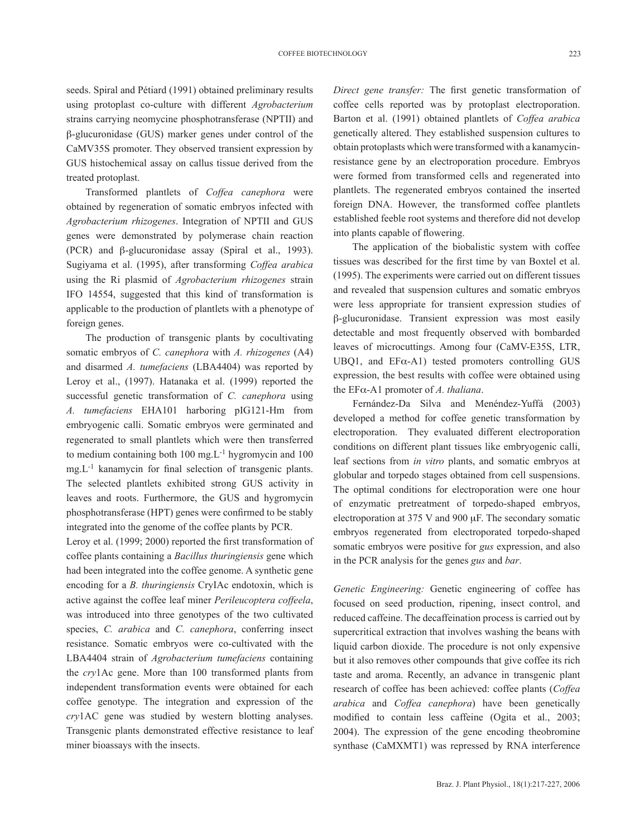seeds. Spiral and Pétiard (1991) obtained preliminary results using protoplast co-culture with different *Agrobacterium* strains carrying neomycine phosphotransferase (NPTII) and β-glucuronidase (GUS) marker genes under control of the CaMV35S promoter. They observed transient expression by GUS histochemical assay on callus tissue derived from the treated protoplast.

 Transformed plantlets of *Coffea canephora* were obtained by regeneration of somatic embryos infected with *Agrobacterium rhizogenes*. Integration of NPTII and GUS genes were demonstrated by polymerase chain reaction (PCR) and β-glucuronidase assay (Spiral et al., 1993). Sugiyama et al. (1995), after transforming *Coffea arabica*  using the Ri plasmid of *Agrobacterium rhizogenes* strain IFO 14554, suggested that this kind of transformation is applicable to the production of plantlets with a phenotype of foreign genes.

 The production of transgenic plants by cocultivating somatic embryos of *C. canephora* with *A. rhizogenes* (A4) and disarmed *A. tumefaciens* (LBA4404) was reported by Leroy et al., (1997). Hatanaka et al. (1999) reported the successful genetic transformation of *C. canephora* using *A. tumefaciens* EHA101 harboring pIG121-Hm from embryogenic calli. Somatic embryos were germinated and regenerated to small plantlets which were then transferred to medium containing both  $100 \text{ mg}$ . L<sup>-1</sup> hygromycin and  $100$ mg.L-1 kanamycin for final selection of transgenic plants. The selected plantlets exhibited strong GUS activity in leaves and roots. Furthermore, the GUS and hygromycin phosphotransferase (HPT) genes were confirmed to be stably integrated into the genome of the coffee plants by PCR.

Leroy et al. (1999; 2000) reported the first transformation of coffee plants containing a *Bacillus thuringiensis* gene which had been integrated into the coffee genome. A synthetic gene encoding for a *B. thuringiensis* CryIAc endotoxin, which is active against the coffee leaf miner *Perileucoptera coffeela*, was introduced into three genotypes of the two cultivated species, *C. arabica* and *C. canephora*, conferring insect resistance. Somatic embryos were co-cultivated with the LBA4404 strain of *Agrobacterium tumefaciens* containing the *cry*1Ac gene. More than 100 transformed plants from independent transformation events were obtained for each coffee genotype. The integration and expression of the *cry*1AC gene was studied by western blotting analyses. Transgenic plants demonstrated effective resistance to leaf miner bioassays with the insects.

*Direct gene transfer:* The first genetic transformation of coffee cells reported was by protoplast electroporation. Barton et al. (1991) obtained plantlets of *Coffea arabica* genetically altered. They established suspension cultures to obtain protoplasts which were transformed with a kanamycinresistance gene by an electroporation procedure. Embryos were formed from transformed cells and regenerated into plantlets. The regenerated embryos contained the inserted foreign DNA. However, the transformed coffee plantlets established feeble root systems and therefore did not develop into plants capable of flowering.

 The application of the biobalistic system with coffee tissues was described for the first time by van Boxtel et al. (1995). The experiments were carried out on different tissues and revealed that suspension cultures and somatic embryos were less appropriate for transient expression studies of β-glucuronidase. Transient expression was most easily detectable and most frequently observed with bombarded leaves of microcuttings. Among four (CaMV-E35S, LTR, UBQ1, and  $EFa-A1$ ) tested promoters controlling GUS expression, the best results with coffee were obtained using the EFα-A1 promoter of *A. thaliana*.

 Fernández-Da Silva and Menéndez-Yuffá (2003) developed a method for coffee genetic transformation by electroporation. They evaluated different electroporation conditions on different plant tissues like embryogenic calli, leaf sections from *in vitro* plants, and somatic embryos at globular and torpedo stages obtained from cell suspensions. The optimal conditions for electroporation were one hour of enzymatic pretreatment of torpedo-shaped embryos, electroporation at 375 V and 900 μF. The secondary somatic embryos regenerated from electroporated torpedo-shaped somatic embryos were positive for *gus* expression, and also in the PCR analysis for the genes *gus* and *bar*.

*Genetic Engineering:* Genetic engineering of coffee has focused on seed production, ripening, insect control, and reduced caffeine. The decaffeination process is carried out by supercritical extraction that involves washing the beans with liquid carbon dioxide. The procedure is not only expensive but it also removes other compounds that give coffee its rich taste and aroma. Recently, an advance in transgenic plant research of coffee has been achieved: coffee plants (*Coffea arabica* and *Coffea canephora*) have been genetically modified to contain less caffeine (Ogita et al., 2003; 2004). The expression of the gene encoding theobromine synthase (CaMXMT1) was repressed by RNA interference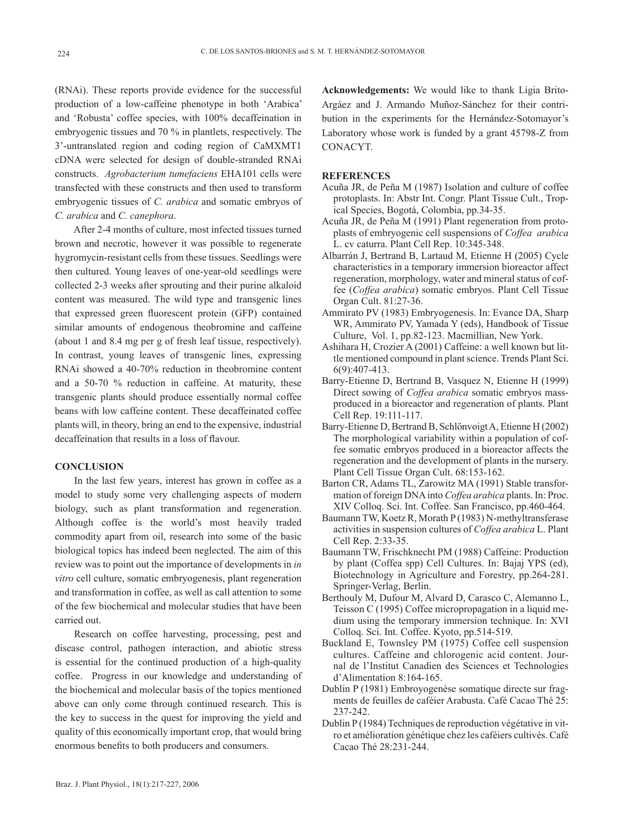(RNAi). These reports provide evidence for the successful production of a low-caffeine phenotype in both 'Arabica' and 'Robusta' coffee species, with 100% decaffeination in embryogenic tissues and 70 % in plantlets, respectively. The 3'-untranslated region and coding region of CaMXMT1 cDNA were selected for design of double-stranded RNAi constructs. *Agrobacterium tumefaciens* EHA101 cells were transfected with these constructs and then used to transform embryogenic tissues of *C. arabica* and somatic embryos of *C. arabica* and *C. canephora*.

 After 2-4 months of culture, most infected tissues turned brown and necrotic, however it was possible to regenerate hygromycin-resistant cells from these tissues. Seedlings were then cultured. Young leaves of one-year-old seedlings were collected 2-3 weeks after sprouting and their purine alkaloid content was measured. The wild type and transgenic lines that expressed green fluorescent protein (GFP) contained similar amounts of endogenous theobromine and caffeine (about 1 and 8.4 mg per g of fresh leaf tissue, respectively). In contrast, young leaves of transgenic lines, expressing RNAi showed a 40-70% reduction in theobromine content and a 50-70 % reduction in caffeine. At maturity, these transgenic plants should produce essentially normal coffee beans with low caffeine content. These decaffeinated coffee plants will, in theory, bring an end to the expensive, industrial decaffeination that results in a loss of flavour.

## **CONCLUSION**

 In the last few years, interest has grown in coffee as a model to study some very challenging aspects of modern biology, such as plant transformation and regeneration. Although coffee is the world's most heavily traded commodity apart from oil, research into some of the basic biological topics has indeed been neglected. The aim of this review was to point out the importance of developments in *in vitro* cell culture, somatic embryogenesis, plant regeneration and transformation in coffee, as well as call attention to some of the few biochemical and molecular studies that have been carried out.

 Research on coffee harvesting, processing, pest and disease control, pathogen interaction, and abiotic stress is essential for the continued production of a high-quality coffee. Progress in our knowledge and understanding of the biochemical and molecular basis of the topics mentioned above can only come through continued research. This is the key to success in the quest for improving the yield and quality of this economically important crop, that would bring enormous benefits to both producers and consumers.

**Acknowledgements:** We would like to thank Ligia Brito-Argáez and J. Armando Muñoz-Sánchez for their contribution in the experiments for the Hernández-Sotomayor's Laboratory whose work is funded by a grant 45798-Z from CONACYT.

## **REFERENCES**

- Acuña JR, de Peña M (1987) Isolation and culture of coffee protoplasts. In: Abstr Int. Congr. Plant Tissue Cult., Tropical Species, Bogotá, Colombia, pp.34-35.
- Acuña JR, de Peña M (1991) Plant regeneration from protoplasts of embryogenic cell suspensions of *Coffea arabica* L. cv caturra. Plant Cell Rep. 10:345-348.
- Albarrán J, Bertrand B, Lartaud M, Etienne H (2005) Cycle characteristics in a temporary immersion bioreactor affect regeneration, morphology, water and mineral status of coffee (*Coffea arabica*) somatic embryos. Plant Cell Tissue Organ Cult. 81:27-36.
- Ammirato PV (1983) Embryogenesis. In: Evance DA, Sharp WR, Ammirato PV, Yamada Y (eds), Handbook of Tissue Culture, Vol. 1, pp.82-123. Macmillian, New York.
- Ashihara H, Crozier A (2001) Caffeine: a well known but little mentioned compound in plant science. Trends Plant Sci. 6(9):407-413.
- Barry-Etienne D, Bertrand B, Vasquez N, Etienne H (1999) Direct sowing of *Coffea arabica* somatic embryos massproduced in a bioreactor and regeneration of plants. Plant Cell Rep. 19:111-117.
- Barry-Etienne D, Bertrand B, Schlönvoigt A, Etienne H (2002) The morphological variability within a population of coffee somatic embryos produced in a bioreactor affects the regeneration and the development of plants in the nursery. Plant Cell Tissue Organ Cult. 68:153-162.
- Barton CR, Adams TL, Zarowitz MA (1991) Stable transformation of foreign DNA into *Coffea arabica* plants. In: Proc. XIV Colloq. Sci. Int. Coffee. San Francisco, pp.460-464.
- Baumann TW, Koetz R, Morath P (1983) N-methyltransferase activities in suspension cultures of *Coffea arabica* L. Plant Cell Rep. 2:33-35.
- Baumann TW, Frischknecht PM (1988) Caffeine: Production by plant (Coffea spp) Cell Cultures. In: Bajaj YPS (ed), Biotechnology in Agriculture and Forestry, pp.264-281. Springer-Verlag, Berlin.
- Berthouly M, Dufour M, Alvard D, Carasco C, Alemanno L, Teisson C (1995) Coffee micropropagation in a liquid medium using the temporary immersion technique. In: XVI Colloq. Sci. Int. Coffee. Kyoto, pp.514-519.
- Buckland E, Townsley PM (1975) Coffee cell suspension cultures. Caffeine and chlorogenic acid content. Journal de l'Institut Canadien des Sciences et Technologies d'Alimentation 8:164-165.
- Dublin P (1981) Embroyogenèse somatique directe sur fragments de feuilles de caféier Arabusta. Café Cacao Thé 25: 237-242.
- Dublin P (1984) Techniques de reproduction végétative in vitro et amélioration génétique chez les caféiers cultivés. Café Cacao Thé 28:231-244.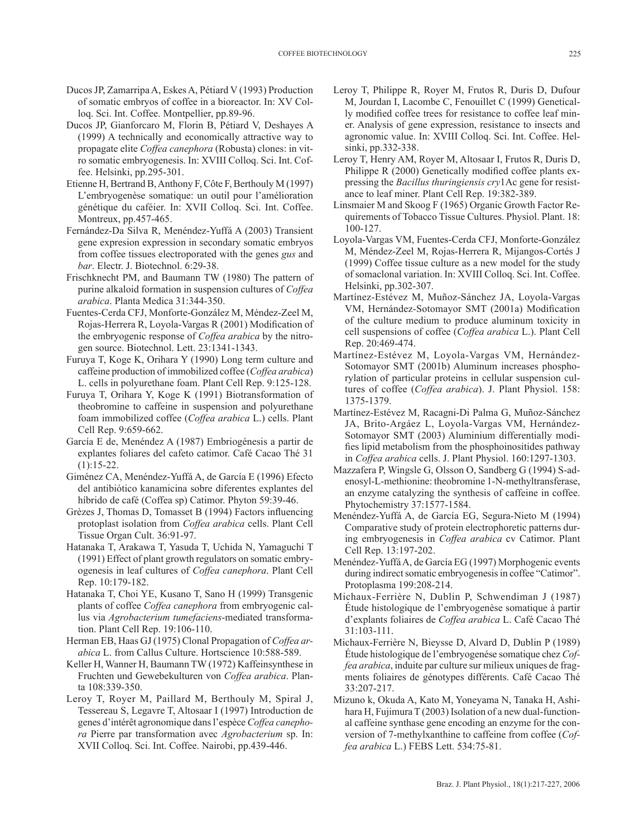- Ducos JP, Zamarripa A, Eskes A, Pétiard V (1993) Production of somatic embryos of coffee in a bioreactor. In: XV Colloq. Sci. Int. Coffee. Montpellier, pp.89-96.
- Ducos JP, Gianforcaro M, Florin B, Pétiard V, Deshayes A (1999) A technically and economically attractive way to propagate elite *Coffea canephora* (Robusta) clones: in vitro somatic embryogenesis. In: XVIII Colloq. Sci. Int. Coffee. Helsinki, pp.295-301.
- Etienne H, Bertrand B, Anthony F, Côte F, Berthouly M (1997) L'embryogenèse somatique: un outil pour l'amélioration génétique du caféier. In: XVII Colloq. Sci. Int. Coffee. Montreux, pp.457-465.
- Fernández-Da Silva R, Menéndez-Yuffá A (2003) Transient gene expresion expression in secondary somatic embryos from coffee tissues electroporated with the genes *gus* and *bar*. Electr. J. Biotechnol. 6:29-38.
- Frischknecht PM, and Baumann TW (1980) The pattern of purine alkaloid formation in suspension cultures of *Coffea arabica*. Planta Medica 31:344-350.
- Fuentes-Cerda CFJ, Monforte-González M, Méndez-Zeel M, Rojas-Herrera R, Loyola-Vargas R (2001) Modification of the embryogenic response of *Coffea arabica* by the nitrogen source. Biotechnol. Lett. 23:1341-1343.
- Furuya T, Koge K, Orihara Y (1990) Long term culture and caffeine production of immobilized coffee (*Coffea arabica*) L. cells in polyurethane foam. Plant Cell Rep. 9:125-128.
- Furuya T, Orihara Y, Koge K (1991) Biotransformation of theobromine to caffeine in suspension and polyurethane foam immobilized coffee (*Coffea arabica* L.) cells. Plant Cell Rep. 9:659-662.
- García E de, Menéndez A (1987) Embriogénesis a partir de explantes foliares del cafeto catimor. Café Cacao Thé 31  $(1):15-22.$
- Giménez CA, Menéndez-Yuffá A, de García E (1996) Efecto del antibiótico kanamicina sobre diferentes explantes del híbrido de café (Coffea sp) Catimor. Phyton 59:39-46.
- Grèzes J, Thomas D, Tomasset B (1994) Factors influencing protoplast isolation from *Coffea arabica* cells. Plant Cell Tissue Organ Cult. 36:91-97.
- Hatanaka T, Arakawa T, Yasuda T, Uchida N, Yamaguchi T (1991) Effect of plant growth regulators on somatic embryogenesis in leaf cultures of *Coffea canephora*. Plant Cell Rep. 10:179-182.
- Hatanaka T, Choi YE, Kusano T, Sano H (1999) Transgenic plants of coffee *Coffea canephora* from embryogenic callus via *Agrobacterium tumefaciens*-mediated transformation. Plant Cell Rep. 19:106-110.
- Herman EB, Haas GJ (1975) Clonal Propagation of *Coffea arabica* L. from Callus Culture. Hortscience 10:588-589.
- Keller H, Wanner H, Baumann TW (1972) Kaffeinsynthese in Fruchten und Gewebekulturen von *Coffea arabica*. Planta 108:339-350.
- Leroy T, Royer M, Paillard M, Berthouly M, Spiral J, Tessereau S, Legavre T, Altosaar I (1997) Introduction de genes d'intérêt agronomique dans l'espèce *Coffea canephora* Pierre par transformation avec *Agrobacterium* sp. In: XVII Colloq. Sci. Int. Coffee. Nairobi, pp.439-446.
- Leroy T, Philippe R, Royer M, Frutos R, Duris D, Dufour M, Jourdan I, Lacombe C, Fenouillet C (1999) Genetically modified coffee trees for resistance to coffee leaf miner. Analysis of gene expression, resistance to insects and agronomic value. In: XVIII Colloq. Sci. Int. Coffee. Helsinki, pp.332-338.
- Leroy T, Henry AM, Royer M, Altosaar I, Frutos R, Duris D, Philippe R (2000) Genetically modified coffee plants expressing the *Bacillus thuringiensis cry*1Ac gene for resistance to leaf miner. Plant Cell Rep. 19:382-389.
- Linsmaier M and Skoog F (1965) Organic Growth Factor Requirements of Tobacco Tissue Cultures. Physiol. Plant. 18: 100-127.
- Loyola-Vargas VM, Fuentes-Cerda CFJ, Monforte-González M, Méndez-Zeel M, Rojas-Herrera R, Mijangos-Cortés J (1999) Coffee tissue culture as a new model for the study of somaclonal variation. In: XVIII Colloq. Sci. Int. Coffee. Helsinki, pp.302-307.
- Martínez-Estévez M, Muñoz-Sánchez JA, Loyola-Vargas VM, Hernández-Sotomayor SMT (2001a) Modification of the culture medium to produce aluminum toxicity in cell suspensions of coffee (*Coffea arabica* L.). Plant Cell Rep. 20:469-474.
- Martínez-Estévez M, Loyola-Vargas VM, Hernández-Sotomayor SMT (2001b) Aluminum increases phosphorylation of particular proteins in cellular suspension cultures of coffee (*Coffea arabica*). J. Plant Physiol. 158: 1375-1379.
- Martínez-Estévez M, Racagni-Di Palma G, Muñoz-Sánchez JA, Brito-Argáez L, Loyola-Vargas VM, Hernández-Sotomayor SMT (2003) Aluminium differentially modifies lipid metabolism from the phosphoinositides pathway in *Coffea arabica* cells. J. Plant Physiol. 160:1297-1303.
- Mazzafera P, Wingsle G, Olsson O, Sandberg G (1994) S-adenosyl-L-methionine: theobromine 1-N-methyltransferase, an enzyme catalyzing the synthesis of caffeine in coffee. Phytochemistry 37:1577-1584.
- Menéndez-Yuffá A, de García EG, Segura-Nieto M (1994) Comparative study of protein electrophoretic patterns during embryogenesis in *Coffea arabica* cv Catimor. Plant Cell Rep. 13:197-202.
- Menéndez-Yuffá A, de García EG (1997) Morphogenic events during indirect somatic embryogenesis in coffee "Catimor". Protoplasma 199:208-214.
- Michaux-Ferrière N, Dublin P, Schwendiman J (1987) Étude histologique de l'embryogenèse somatique à partir d'explants foliaires de *Coffea arabica* L. Café Cacao Thé 31:103-111.
- Michaux-Ferrière N, Bieysse D, Alvard D, Dublin P (1989) Étude histologique de l'embryogenése somatique chez *Coffea arabica*, induite par culture sur milieux uniques de fragments foliaires de génotypes différents. Café Cacao Thé 33:207-217.
- Mizuno k, Okuda A, Kato M, Yoneyama N, Tanaka H, Ashihara H, Fujimura T (2003) Isolation of a new dual-functional caffeine synthase gene encoding an enzyme for the conversion of 7-methylxanthine to caffeine from coffee (*Coffea arabica* L.) FEBS Lett. 534:75-81.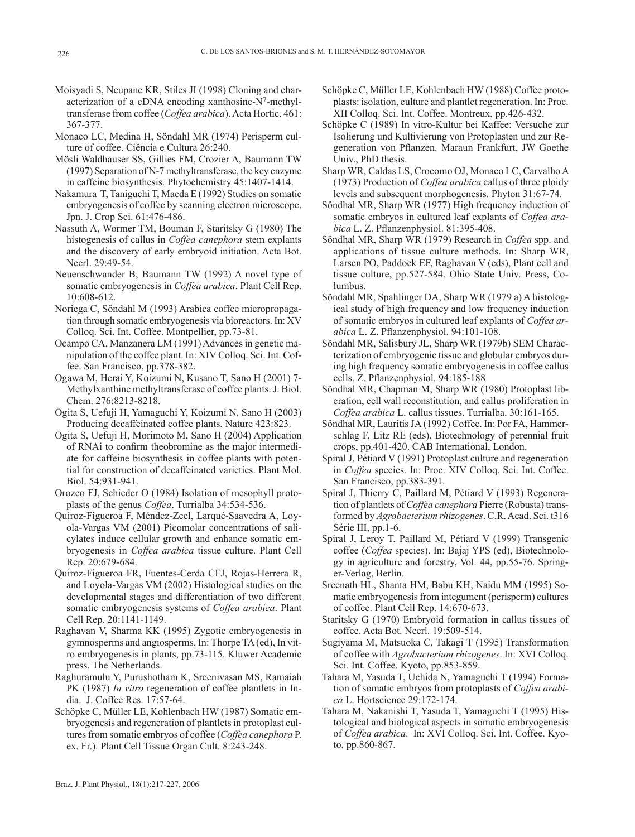- Moisyadi S, Neupane KR, Stiles JI (1998) Cloning and characterization of a cDNA encoding xanthosine-N7-methyltransferase from coffee (*Coffea arabica*). Acta Hortic. 461: 367-377.
- Monaco LC, Medina H, Söndahl MR (1974) Perisperm culture of coffee. Ciência e Cultura 26:240.
- Mösli Waldhauser SS, Gillies FM, Crozier A, Baumann TW (1997) Separation of N-7 methyltransferase, the key enzyme in caffeine biosynthesis. Phytochemistry 45:1407-1414.
- Nakamura T, Taniguchi T, Maeda E (1992) Studies on somatic embryogenesis of coffee by scanning electron microscope. Jpn. J. Crop Sci. 61:476-486.
- Nassuth A, Wormer TM, Bouman F, Staritsky G (1980) The histogenesis of callus in *Coffea canephora* stem explants and the discovery of early embryoid initiation. Acta Bot. Neerl. 29:49-54.
- Neuenschwander B, Baumann TW (1992) A novel type of somatic embryogenesis in *Coffea arabica*. Plant Cell Rep. 10:608-612.
- Noriega C, Söndahl M (1993) Arabica coffee micropropagation through somatic embryogenesis via bioreactors. In: XV Colloq. Sci. Int. Coffee. Montpellier, pp.73-81.
- Ocampo CA, Manzanera LM (1991) Advances in genetic manipulation of the coffee plant. In: XIV Colloq. Sci. Int. Coffee. San Francisco, pp.378-382.
- Ogawa M, Herai Y, Koizumi N, Kusano T, Sano H (2001) 7- Methylxanthine methyltransferase of coffee plants. J. Biol. Chem. 276:8213-8218.
- Ogita S, Uefuji H, Yamaguchi Y, Koizumi N, Sano H (2003) Producing decaffeinated coffee plants. Nature 423:823.
- Ogita S, Uefuji H, Morimoto M, Sano H (2004) Application of RNAi to confirm theobromine as the major intermediate for caffeine biosynthesis in coffee plants with potential for construction of decaffeinated varieties. Plant Mol. Biol. 54:931-941.
- Orozco FJ, Schieder O (1984) Isolation of mesophyll protoplasts of the genus *Coffea*. Turrialba 34:534-536.
- Quiroz-Figueroa F, Méndez-Zeel, Larqué-Saavedra A, Loyola-Vargas VM (2001) Picomolar concentrations of salicylates induce cellular growth and enhance somatic embryogenesis in *Coffea arabica* tissue culture. Plant Cell Rep. 20:679-684.
- Quiroz-Figueroa FR, Fuentes-Cerda CFJ, Rojas-Herrera R, and Loyola-Vargas VM (2002) Histological studies on the developmental stages and differentiation of two different somatic embryogenesis systems of *Coffea arabica*. Plant Cell Rep. 20:1141-1149.
- Raghavan V, Sharma KK (1995) Zygotic embryogenesis in gymnosperms and angiosperms. In: Thorpe TA (ed), In vitro embryogenesis in plants, pp.73-115. Kluwer Academic press, The Netherlands.
- Raghuramulu Y, Purushotham K, Sreenivasan MS, Ramaiah PK (1987) *In vitro* regeneration of coffee plantlets in India. J. Coffee Res. 17:57-64.
- Schöpke C, Müller LE, Kohlenbach HW (1987) Somatic embryogenesis and regeneration of plantlets in protoplast cultures from somatic embryos of coffee (*Coffea canephora* P. ex. Fr.). Plant Cell Tissue Organ Cult. 8:243-248.
- Schöpke C, Müller LE, Kohlenbach HW (1988) Coffee protoplasts: isolation, culture and plantlet regeneration. In: Proc. XII Colloq. Sci. Int. Coffee. Montreux, pp.426-432.
- Schöpke C (1989) In vitro-Kultur bei Kaffee: Versuche zur Isolierung und Kultivierung von Protoplasten und zur Regeneration von Pflanzen. Maraun Frankfurt, JW Goethe Univ., PhD thesis.
- Sharp WR, Caldas LS, Crocomo OJ, Monaco LC, Carvalho A (1973) Production of *Coffea arabica* callus of three ploidy levels and subsequent morphogenesis. Phyton 31:67-74.
- Söndhal MR, Sharp WR (1977) High frequency induction of somatic embryos in cultured leaf explants of *Coffea arabica* L. Z. Pflanzenphysiol. 81:395-408.
- Söndhal MR, Sharp WR (1979) Research in *Coffea* spp. and applications of tissue culture methods. In: Sharp WR, Larsen PO, Paddock EF, Raghavan V (eds), Plant cell and tissue culture, pp.527-584. Ohio State Univ. Press, Columbus.
- Söndahl MR, Spahlinger DA, Sharp WR (1979 a) A histological study of high frequency and low frequency induction of somatic embryos in cultured leaf explants of *Coffea arabica* L. Z. Pflanzenphysiol. 94:101-108.
- Söndahl MR, Salisbury JL, Sharp WR (1979b) SEM Characterization of embryogenic tissue and globular embryos during high frequency somatic embryogenesis in coffee callus cells. Z. Pflanzenphysiol. 94:185-188
- Söndhal MR, Chapman M, Sharp WR (1980) Protoplast liberation, cell wall reconstitution, and callus proliferation in *Coffea arabica* L. callus tissues. Turrialba. 30:161-165.
- Söndhal MR, Lauritis JA (1992) Coffee. In: Por FA, Hammerschlag F, Litz RE (eds), Biotechnology of perennial fruit crops, pp.401-420. CAB International, London.
- Spiral J, Pétiard V (1991) Protoplast culture and regeneration in *Coffea* species. In: Proc. XIV Colloq. Sci. Int. Coffee. San Francisco, pp.383-391.
- Spiral J, Thierry C, Paillard M, Pétiard V (1993) Regeneration of plantlets of *Coffea canephora* Pierre (Robusta) transformed by *Agrobacterium rhizogenes*. C.R. Acad. Sci. t316 Série III, pp.1-6.
- Spiral J, Leroy T, Paillard M, Pétiard V (1999) Transgenic coffee (*Coffea* species). In: Bajaj YPS (ed), Biotechnology in agriculture and forestry, Vol. 44, pp.55-76. Springer-Verlag, Berlin.
- Sreenath HL, Shanta HM, Babu KH, Naidu MM (1995) Somatic embryogenesis from integument (perisperm) cultures of coffee. Plant Cell Rep. 14:670-673.
- Staritsky G (1970) Embryoid formation in callus tissues of coffee. Acta Bot. Neerl. 19:509-514.
- Sugiyama M, Matsuoka C, Takagi T (1995) Transformation of coffee with *Agrobacterium rhizogenes*. In: XVI Colloq. Sci. Int. Coffee. Kyoto, pp.853-859.
- Tahara M, Yasuda T, Uchida N, Yamaguchi T (1994) Formation of somatic embryos from protoplasts of *Coffea arabica* L. Hortscience 29:172-174.
- Tahara M, Nakanishi T, Yasuda T, Yamaguchi T (1995) Histological and biological aspects in somatic embryogenesis of *Coffea arabica*. In: XVI Colloq. Sci. Int. Coffee. Kyoto, pp.860-867.